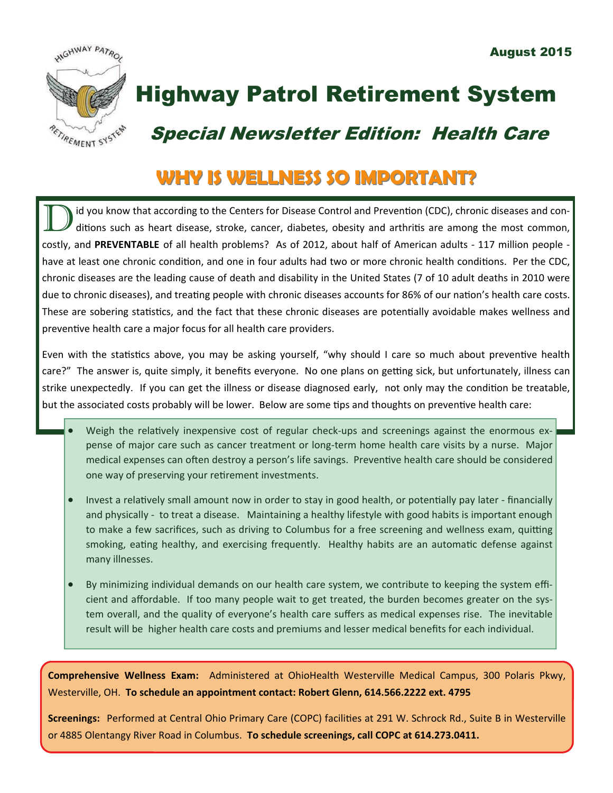

# Highway Patrol Retirement System

### Special Newsletter Edition: Health Care

## **WHY IS WELLNESS SO IMPORTANT?**

id you know that according to the Centers for Disease Control and Prevention (CDC), chronic diseases and conditions such as heart disease, stroke, cancer, diabetes, obesity and arthritis are among the most common, costly, and **PREVENTABLE** of all health problems? As of 2012, about half of American adults - 117 million people have at least one chronic condition, and one in four adults had two or more chronic health conditions. Per the CDC, chronic diseases are the leading cause of death and disability in the United States (7 of 10 adult deaths in 2010 were due to chronic diseases), and treating people with chronic diseases accounts for 86% of our nation's health care costs. These are sobering statistics, and the fact that these chronic diseases are potentially avoidable makes wellness and preventive health care a major focus for all health care providers.

Even with the statistics above, you may be asking yourself, "why should I care so much about preventive health care?" The answer is, quite simply, it benefits everyone. No one plans on getting sick, but unfortunately, illness can strike unexpectedly. If you can get the illness or disease diagnosed early, not only may the condition be treatable, but the associated costs probably will be lower. Below are some tips and thoughts on preventive health care:

- Weigh the relatively inexpensive cost of regular check-ups and screenings against the enormous expense of major care such as cancer treatment or long-term home health care visits by a nurse. Major medical expenses can often destroy a person's life savings. Preventive health care should be considered one way of preserving your retirement investments.
- Invest a relatively small amount now in order to stay in good health, or potentially pay later financially and physically - to treat a disease. Maintaining a healthy lifestyle with good habits is important enough to make a few sacrifices, such as driving to Columbus for a free screening and wellness exam, quitting smoking, eating healthy, and exercising frequently. Healthy habits are an automatic defense against many illnesses.
- By minimizing individual demands on our health care system, we contribute to keeping the system efficient and affordable. If too many people wait to get treated, the burden becomes greater on the system overall, and the quality of everyone's health care suffers as medical expenses rise. The inevitable result will be higher health care costs and premiums and lesser medical benefits for each individual.

**Comprehensive Wellness Exam:**  Administered at OhioHealth Westerville Medical Campus, 300 Polaris Pkwy, Westerville, OH. **To schedule an appointment contact: Robert Glenn, 614.566.2222 ext. 4795** 

**Screenings:** Performed at Central Ohio Primary Care (COPC) facilities at 291 W. Schrock Rd., Suite B in Westerville or 4885 Olentangy River Road in Columbus. **To schedule screenings, call COPC at 614.273.0411.**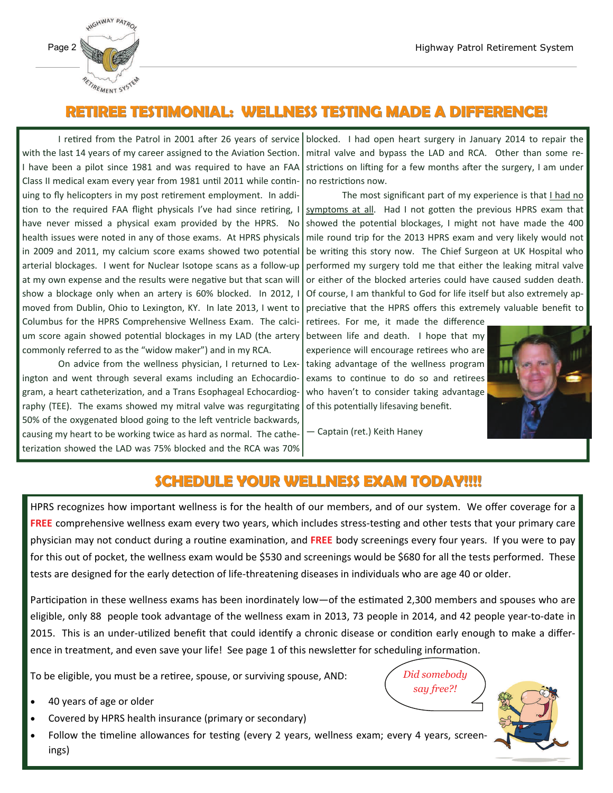

### **RETIREE TESTIMONIAL: RETIREE TESTIMONIAL: WELLNESS TESTING M WELLNESS TESTING MADE A DIFFERENCE! ADE A DIFFERENCE!**

with the last 14 years of my career assigned to the Aviation Section. I have been a pilot since 1981 and was required to have an FAA strictions on lifting for a few months after the surgery, I am under Class II medical exam every year from 1981 until 2011 while continuing to fly helicopters in my post retirement employment. In addition to the required FAA flight physicals I've had since retiring, I have never missed a physical exam provided by the HPRS. No health issues were noted in any of those exams. At HPRS physicals in 2009 and 2011, my calcium score exams showed two potential arterial blockages. I went for Nuclear Isotope scans as a follow-up at my own expense and the results were negative but that scan will show a blockage only when an artery is 60% blocked. In 2012, I moved from Dublin, Ohio to Lexington, KY. In late 2013, I went to Columbus for the HPRS Comprehensive Wellness Exam. The calcium score again showed potential blockages in my LAD (the artery commonly referred to as the "widow maker") and in my RCA.

On advice from the wellness physician, I returned to Lexington and went through several exams including an Echocardiogram, a heart catheterization, and a Trans Esophageal Echocardiography (TEE). The exams showed my mitral valve was regurgitating 50% of the oxygenated blood going to the left ventricle backwards, causing my heart to be working twice as hard as normal. The catheterization showed the LAD was 75% blocked and the RCA was 70%

I retired from the Patrol in 2001 after 26 years of service |blocked. I had open heart surgery in January 2014 to repair the mitral valve and bypass the LAD and RCA. Other than some reno restrictions now.

> The most significant part of my experience is that I had no symptoms at all. Had I not gotten the previous HPRS exam that showed the potential blockages, I might not have made the 400 mile round trip for the 2013 HPRS exam and very likely would not be writing this story now. The Chief Surgeon at UK Hospital who performed my surgery told me that either the leaking mitral valve or either of the blocked arteries could have caused sudden death. Of course, I am thankful to God for life itself but also extremely appreciative that the HPRS offers this extremely valuable benefit to

retirees. For me, it made the difference between life and death. I hope that my experience will encourage retirees who are taking advantage of the wellness program exams to continue to do so and retirees who haven't to consider taking advantage of this potentially lifesaving benefit.



— Captain (ret.) Keith Haney

#### **SCHEDULE YOUR WELLNESS EXAM TODAY!!!!**

HPRS recognizes how important wellness is for the health of our members, and of our system. We offer coverage for a **FREE** comprehensive wellness exam every two years, which includes stress-testing and other tests that your primary care physician may not conduct during a routine examination, and FREE body screenings every four years. If you were to pay for this out of pocket, the wellness exam would be \$530 and screenings would be \$680 for all the tests performed. These tests are designed for the early detection of life-threatening diseases in individuals who are age 40 or older.

Participation in these wellness exams has been inordinately low—of the estimated 2,300 members and spouses who are eligible, only 88 people took advantage of the wellness exam in 2013, 73 people in 2014, and 42 people year-to-date in 2015. This is an under-utilized benefit that could identify a chronic disease or condition early enough to make a difference in treatment, and even save your life! See page 1 of this newsletter for scheduling information.

To be eligible, you must be a retiree, spouse, or surviving spouse, AND:

- 40 years of age or older
- Covered by HPRS health insurance (primary or secondary)
- Follow the timeline allowances for testing (every 2 years, wellness exam; every 4 years, screenings)

*Did somebody say free?!* 

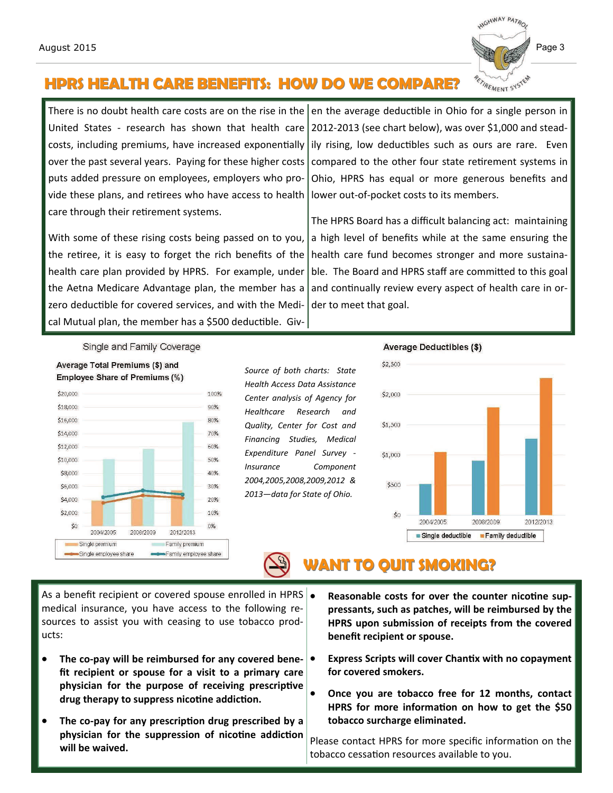

#### **HPRS HEALTH CARE BENEFITS: HOW DO WE COMPARE?**

There is no doubt health care costs are on the rise in the  $|$  en the average deductible in Ohio for a single person in United States - research has shown that health care 2012-2013 (see chart below), was over \$1,000 and steadcosts, including premiums, have increased exponentially over the past several years. Paying for these higher costs puts added pressure on employees, employers who provide these plans, and retirees who have access to health care through their retirement systems.

With some of these rising costs being passed on to you, the retiree, it is easy to forget the rich benefits of the health care plan provided by HPRS. For example, under the Aetna Medicare Advantage plan, the member has a zero deductible for covered services, and with the Medical Mutual plan, the member has a \$500 deductible. Giv-

ily rising, low deductibles such as ours are rare. Even compared to the other four state retirement systems in Ohio, HPRS has equal or more generous benefits and lower out-of-pocket costs to its members.

The HPRS Board has a difficult balancing act: maintaining a high level of benefits while at the same ensuring the health care fund becomes stronger and more sustainable. The Board and HPRS staff are committed to this goal and continually review every aspect of health care in order to meet that goal.

Single and Family Coverage





*Source of both charts: State Health Access Data Assistance Center analysis of Agency for Healthcare Research and Quality, Center for Cost and Financing Studies, Medical Expenditure Panel Survey ‐ Insurance Component 2004,2005,2008,2009,2012 & 2013—data for State of Ohio.*

#### **Average Deductibles (\$)**



### **WANT TO QUIT SMOKING? WANT TO QUIT SMOKING?**

As a benefit recipient or covered spouse enrolled in HPRS  $\bullet$ medical insurance, you have access to the following resources to assist you with ceasing to use tobacco products:

- **The co‐pay will be reimbursed for any covered bene‐ fit recipient or spouse for a visit to a primary care physician for the purpose of receiving prescripƟve drug therapy to suppress nicoƟne addicƟon.**
- **The co‐pay for any prescripƟon drug prescribed by a physician** for the suppression of nicotine addiction **will be waived.**
- **Reasonable costs for over the counter nicoƟne sup‐ pressants, such as patches, will be reimbursed by the HPRS upon submission of receipts from the covered benefit recipient or spouse.**
- **Express Scripts will cover ChanƟx with no copayment for covered smokers.**
- **Once you are tobacco free for 12 months, contact HPRS for more informaƟon on how to get the \$50 tobacco surcharge eliminated.**

Please contact HPRS for more specific information on the tobacco cessation resources available to you.